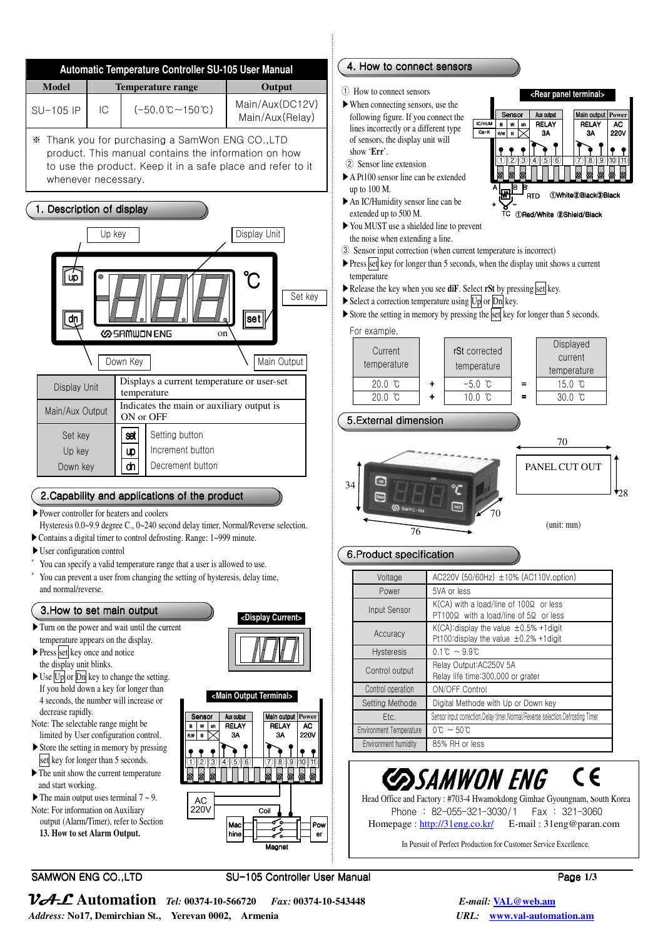

#### **<Rear panel terminal>** Sensor | Aux output | Main output **Power** IC/HUM **RELAY** RELAY AC. B W sh Ca-K  $\overline{\phantom{a}}$ 3A **3A** 220V Ξ j  $\bullet$ ① ② ③ ④ ⑤ ⑥ ⑦ ⑧ ⑨ ⑩ ⑪ A B B**'** ①White②Black③Black RTD RTD  $+$   $\times$  -①Red/White ①Red/White Red/White ②Shield/Black Shield/Black **TC** ③ Sensor input correction (when current temperature is incorrect)  $\triangleright$  Press set key for longer than 5 seconds, when the display unit shows a current ▶Release the key when you see **diF**. Select **rSt** by pressing set key. ▶ Store the setting in memory by pressing the set key for longer than 5 seconds. Displayed rSt corrected current

temperature



temperature

# 6.Product specification

| Voltage                        | AC220V (50/60Hz) ±10% (AC110V, option)                                                                  |
|--------------------------------|---------------------------------------------------------------------------------------------------------|
| Power                          | 5VA or less                                                                                             |
| Input Sensor                   | $K(CA)$ with a load/line of 100 $\Omega$ or less<br>$PT100\Omega$ with a load/line of $5\Omega$ or less |
| Accuracy                       | K(CA): display the value $\pm 0.5\%$ +1 digit<br>Pt100:display the value $\pm$ 0.2% +1digit             |
| <b>Hysteresis</b>              | $0.1^{\circ}C \sim 9.9^{\circ}C$                                                                        |
| Control output                 | Relay Output: AC250V 5A<br>Relay life time: 300,000 or grater                                           |
| Control operation              | ON/OFF Control                                                                                          |
| Setting Methode                | Digital Methode with Up or Down key                                                                     |
| Etc.                           | Sensor input correction. Delay timer. Normal/Reverse selection. Defrosting Timer                        |
| <b>Environment Temperature</b> | $0^{\circ}$ C ~ 50 $^{\circ}$ C                                                                         |
| Environment humidity           | 85% RH or less                                                                                          |

## **COSAMWON ENG**  $\epsilon$

 Head Office and Factory : #703-4 Hwamokdong Gimhae Gyoungnam, South Korea Phone : 82-055-321-3030/1 Fax : 321-3060 Homepage : http://31eng.co.kr/ E-mail : 31eng@paran.com

In Pursuit of Perfect Production for Customer Service Excellence.

VAL **Automation** *Tel:* **00374-10-566720** *Fax:* **00374-10-543448** *E-mail:* **VAL@web.am** *Address:* **No17, Demirchian St., Yerevan 0002, Armenia** *URL:* **www.val-automation.am**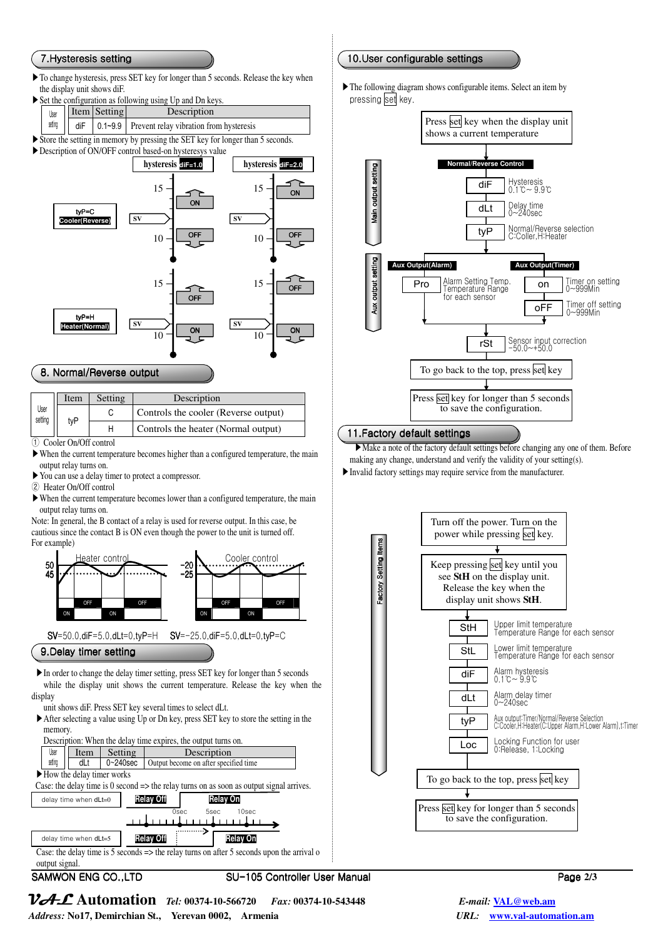#### 7.Hysteresis setting 7.Hysteresis Hysteresis setting

▶To change hysteresis, press SET key for longer than 5 seconds. Release the key when the display unit shows diF.

| $\triangleright$ Set the configuration as following using Up and Dn keys. |  |
|---------------------------------------------------------------------------|--|
| Item Setting<br>Description<br>User                                       |  |

- setting  $\begin{bmatrix} \n\end{bmatrix}$  diF  $\begin{bmatrix} 0.1 \sim 9.9 \n\end{bmatrix}$  Prevent relay vibration from hysteresis
- ▶Store the setting in memory by pressing the SET key for longer than 5 seconds.
- ▶Description of ON/OFF control based-on hysteresys value



### 8. Normal/Reverse output

| User<br>setting | Item | Setting | Description                          |
|-----------------|------|---------|--------------------------------------|
|                 |      |         | Controls the cooler (Reverse output) |
|                 | tyP  |         | Controls the heater (Normal output)  |

① Cooler On/Off control

- ▶When the current temperature becomes higher than a configured temperature, the main output relay turns on.
- ▶You can use a delay timer to protect a compressor.
- ② Heater On/Off control
- ▶When the current temperature becomes lower than a configured temperature, the main output relay turns on.

Note: In general, the B contact of a relay is used for reverse output. In this case, be cautious since the contact B is ON even though the power to the unit is turned off. For example)



SV=50.0,diF=5.0,dLt=0,tyP=H SV=-25.0,diF=5.0,dLt=0,tyP=C

9.Delay timer setting

 ▶In order to change the delay timer setting, press SET key for longer than 5 seconds while the display unit shows the current temperature. Release the key when the display

unit shows diF. Press SET key several times to select dLt.

- ▶After selecting a value using Up or Dn key, press SET key to store the setting in the memory.
- Description: When the delay time expires, the output turns on. User Item Setting Description Output become on after specified time
- ▶How the delay timer works

Case: the delay time is 0 second => the relay turns on as soon as output signal arrives.



delay time when dLt=5 **Relay Off Relay On** Case: the delay time is 5 seconds  $\Rightarrow$  the relay turns on after 5 seconds upon the arrival o output signal.

SAMWON ENG CO.,LTD SU-105 Controller User Manual 105 Controller Manual Page 2/3

## 10.User configurable settings

▶The following diagram shows configurable items. Select an item by pressing set key.



## 11. Factory default settings

▶ Make a note of the factory default settings before changing any one of them. Before making any change, understand and verify the validity of your setting(s).

▶Invalid factory settings may require service from the manufacturer.



VAL **Automation** *Tel:* **00374-10-566720** *Fax:* **00374-10-543448** *E-mail:* **VAL@web.am** *Address:* **No17, Demirchian St., Yerevan 0002, Armenia** *URL:* **www.val-automation.am**